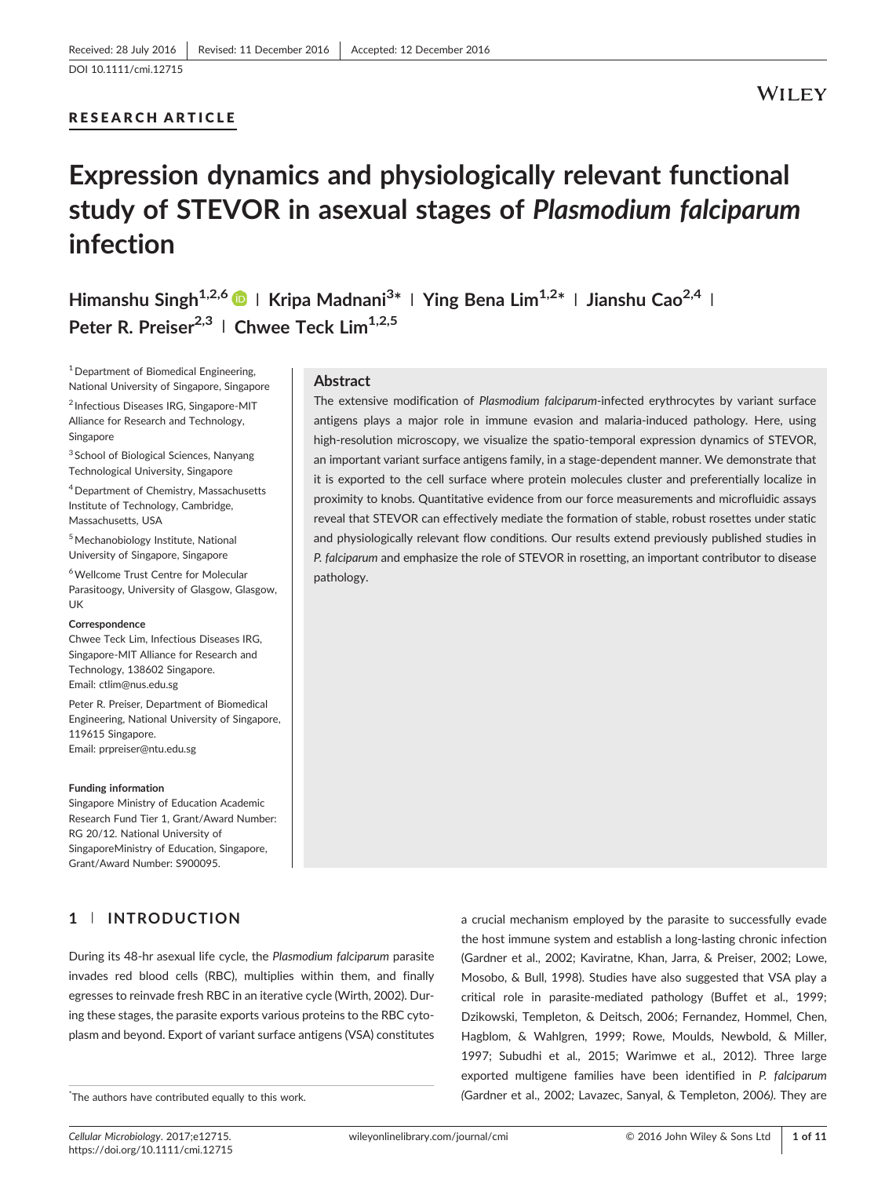# RESEARCH ARTICLE

# **WILEY**

# Expression dynamics and physiologically relevant functional study of STEVOR in asexual stages of Plasmodium falciparum infection

Himanshu Singh<sup>1,2,6</sup> D | Kripa Madnani<sup>3\*</sup> | Ying Bena Lim<sup>1,2\*</sup> | Jianshu Cao<sup>2,4</sup> | Peter R. Preiser<sup>2,3</sup> | Chwee Teck Lim<sup>1,2,5</sup>

<sup>1</sup> Department of Biomedical Engineering, National University of Singapore, Singapore

<sup>2</sup> Infectious Diseases IRG, Singapore‐MIT Alliance for Research and Technology, Singapore

<sup>3</sup> School of Biological Sciences, Nanyang Technological University, Singapore

4Department of Chemistry, Massachusetts Institute of Technology, Cambridge, Massachusetts, USA

<sup>5</sup> Mechanobiology Institute, National University of Singapore, Singapore

6Wellcome Trust Centre for Molecular Parasitoogy, University of Glasgow, Glasgow, UK

#### **Correspondence**

Chwee Teck Lim, Infectious Diseases IRG, Singapore‐MIT Alliance for Research and Technology, 138602 Singapore. Email: ctlim@nus.edu.sg

Peter R. Preiser, Department of Biomedical Engineering, National University of Singapore, 119615 Singapore. Email: [prpreiser@ntu.edu.sg](mailto:prpreiser@ntu.edu.sg)

#### Funding information

Singapore Ministry of Education Academic Research Fund Tier 1, Grant/Award Number: RG 20/12. National University of SingaporeMinistry of Education, Singapore, Grant/Award Number: S900095.

# 1 | INTRODUCTION

During its 48‐hr asexual life cycle, the Plasmodium falciparum parasite invades red blood cells (RBC), multiplies within them, and finally egresses to reinvade fresh RBC in an iterative cycle (Wirth, 2002). During these stages, the parasite exports various proteins to the RBC cytoplasm and beyond. Export of variant surface antigens (VSA) constitutes

## **Abstract**

The extensive modification of Plasmodium falciparum-infected erythrocytes by variant surface antigens plays a major role in immune evasion and malaria‐induced pathology. Here, using high-resolution microscopy, we visualize the spatio-temporal expression dynamics of STEVOR, an important variant surface antigens family, in a stage‐dependent manner. We demonstrate that it is exported to the cell surface where protein molecules cluster and preferentially localize in proximity to knobs. Quantitative evidence from our force measurements and microfluidic assays reveal that STEVOR can effectively mediate the formation of stable, robust rosettes under static and physiologically relevant flow conditions. Our results extend previously published studies in P. falciparum and emphasize the role of STEVOR in rosetting, an important contributor to disease pathology.

> a crucial mechanism employed by the parasite to successfully evade the host immune system and establish a long‐lasting chronic infection (Gardner et al., 2002; Kaviratne, Khan, Jarra, & Preiser, 2002; Lowe, Mosobo, & Bull, 1998). Studies have also suggested that VSA play a critical role in parasite‐mediated pathology (Buffet et al., 1999; Dzikowski, Templeton, & Deitsch, 2006; Fernandez, Hommel, Chen, Hagblom, & Wahlgren, 1999; Rowe, Moulds, Newbold, & Miller, 1997; Subudhi et al., 2015; Warimwe et al., 2012). Three large exported multigene families have been identified in P. falciparum (Gardner et al., 2002; Lavazec, Sanyal, & Templeton, 2006). They are

The authors have contributed equally to this work.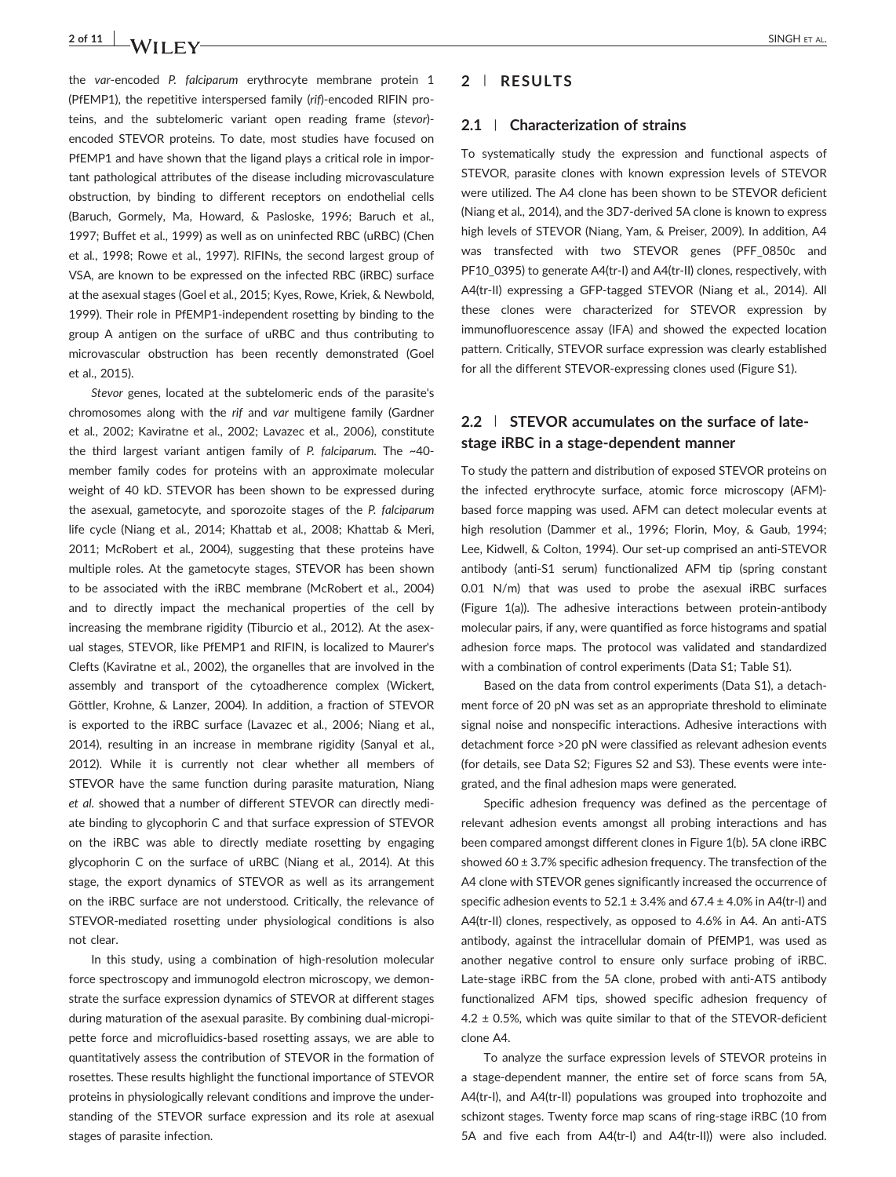the var-encoded P. falciparum erythrocyte membrane protein 1 (PfEMP1), the repetitive interspersed family (rif)-encoded RIFIN proteins, and the subtelomeric variant open reading frame (stevor)‐ encoded STEVOR proteins. To date, most studies have focused on PfEMP1 and have shown that the ligand plays a critical role in important pathological attributes of the disease including microvasculature obstruction, by binding to different receptors on endothelial cells (Baruch, Gormely, Ma, Howard, & Pasloske, 1996; Baruch et al., 1997; Buffet et al., 1999) as well as on uninfected RBC (uRBC) (Chen et al., 1998; Rowe et al., 1997). RIFINs, the second largest group of VSA, are known to be expressed on the infected RBC (iRBC) surface at the asexual stages (Goel et al., 2015; Kyes, Rowe, Kriek, & Newbold, 1999). Their role in PfEMP1‐independent rosetting by binding to the group A antigen on the surface of uRBC and thus contributing to microvascular obstruction has been recently demonstrated (Goel et al., 2015).

Stevor genes, located at the subtelomeric ends of the parasite's chromosomes along with the rif and var multigene family (Gardner et al., 2002; Kaviratne et al., 2002; Lavazec et al., 2006), constitute the third largest variant antigen family of P. falciparum. The ~40member family codes for proteins with an approximate molecular weight of 40 kD. STEVOR has been shown to be expressed during the asexual, gametocyte, and sporozoite stages of the P. falciparum life cycle (Niang et al., 2014; Khattab et al., 2008; Khattab & Meri, 2011; McRobert et al., 2004), suggesting that these proteins have multiple roles. At the gametocyte stages, STEVOR has been shown to be associated with the iRBC membrane (McRobert et al., 2004) and to directly impact the mechanical properties of the cell by increasing the membrane rigidity (Tiburcio et al., 2012). At the asexual stages, STEVOR, like PfEMP1 and RIFIN, is localized to Maurer's Clefts (Kaviratne et al., 2002), the organelles that are involved in the assembly and transport of the cytoadherence complex (Wickert, Göttler, Krohne, & Lanzer, 2004). In addition, a fraction of STEVOR is exported to the iRBC surface (Lavazec et al., 2006; Niang et al., 2014), resulting in an increase in membrane rigidity (Sanyal et al., 2012). While it is currently not clear whether all members of STEVOR have the same function during parasite maturation, Niang et al. showed that a number of different STEVOR can directly mediate binding to glycophorin C and that surface expression of STEVOR on the iRBC was able to directly mediate rosetting by engaging glycophorin C on the surface of uRBC (Niang et al., 2014). At this stage, the export dynamics of STEVOR as well as its arrangement on the iRBC surface are not understood. Critically, the relevance of STEVOR-mediated rosetting under physiological conditions is also not clear.

In this study, using a combination of high-resolution molecular force spectroscopy and immunogold electron microscopy, we demonstrate the surface expression dynamics of STEVOR at different stages during maturation of the asexual parasite. By combining dual‐micropipette force and microfluidics‐based rosetting assays, we are able to quantitatively assess the contribution of STEVOR in the formation of rosettes. These results highlight the functional importance of STEVOR proteins in physiologically relevant conditions and improve the understanding of the STEVOR surface expression and its role at asexual stages of parasite infection.

## 2 | RESULTS

#### 2.1 | Characterization of strains

To systematically study the expression and functional aspects of STEVOR, parasite clones with known expression levels of STEVOR were utilized. The A4 clone has been shown to be STEVOR deficient (Niang et al., 2014), and the 3D7‐derived 5A clone is known to express high levels of STEVOR (Niang, Yam, & Preiser, 2009). In addition, A4 was transfected with two STEVOR genes (PFF\_0850c and PF10\_0395) to generate A4(tr-I) and A4(tr-II) clones, respectively, with A4(tr-II) expressing a GFP-tagged STEVOR (Niang et al., 2014). All these clones were characterized for STEVOR expression by immunofluorescence assay (IFA) and showed the expected location pattern. Critically, STEVOR surface expression was clearly established for all the different STEVOR‐expressing clones used (Figure S1).

# 2.2 | STEVOR accumulates on the surface of latestage iRBC in a stage‐dependent manner

To study the pattern and distribution of exposed STEVOR proteins on the infected erythrocyte surface, atomic force microscopy (AFM)‐ based force mapping was used. AFM can detect molecular events at high resolution (Dammer et al., 1996; Florin, Moy, & Gaub, 1994; Lee, Kidwell, & Colton, 1994). Our set‐up comprised an anti‐STEVOR antibody (anti‐S1 serum) functionalized AFM tip (spring constant 0.01 N/m) that was used to probe the asexual iRBC surfaces (Figure 1(a)). The adhesive interactions between protein‐antibody molecular pairs, if any, were quantified as force histograms and spatial adhesion force maps. The protocol was validated and standardized with a combination of control experiments (Data S1; Table S1).

Based on the data from control experiments (Data S1), a detachment force of 20 pN was set as an appropriate threshold to eliminate signal noise and nonspecific interactions. Adhesive interactions with detachment force >20 pN were classified as relevant adhesion events (for details, see Data S2; Figures S2 and S3). These events were integrated, and the final adhesion maps were generated.

Specific adhesion frequency was defined as the percentage of relevant adhesion events amongst all probing interactions and has been compared amongst different clones in Figure 1(b). 5A clone iRBC showed  $60 \pm 3.7\%$  specific adhesion frequency. The transfection of the A4 clone with STEVOR genes significantly increased the occurrence of specific adhesion events to  $52.1 \pm 3.4\%$  and  $67.4 \pm 4.0\%$  in A4(tr-I) and A4(tr-II) clones, respectively, as opposed to 4.6% in A4. An anti-ATS antibody, against the intracellular domain of PfEMP1, was used as another negative control to ensure only surface probing of iRBC. Late-stage iRBC from the 5A clone, probed with anti-ATS antibody functionalized AFM tips, showed specific adhesion frequency of  $4.2 \pm 0.5$ %, which was quite similar to that of the STEVOR-deficient clone A4.

To analyze the surface expression levels of STEVOR proteins in a stage‐dependent manner, the entire set of force scans from 5A, A4(tr-I), and A4(tr-II) populations was grouped into trophozoite and schizont stages. Twenty force map scans of ring-stage iRBC (10 from 5A and five each from A4(tr‐I) and A4(tr‐II)) were also included.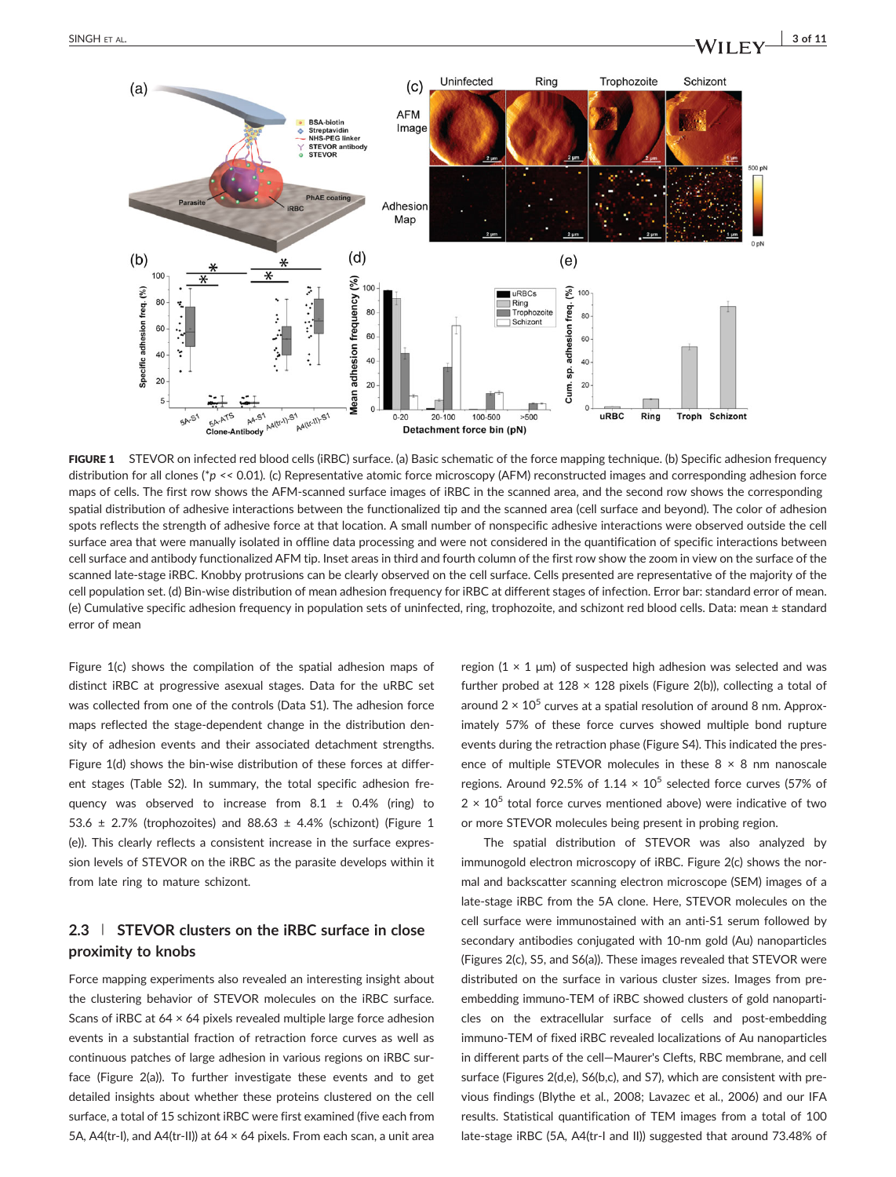

FIGURE 1 STEVOR on infected red blood cells (iRBC) surface. (a) Basic schematic of the force mapping technique. (b) Specific adhesion frequency distribution for all clones (\*p << 0.01). (c) Representative atomic force microscopy (AFM) reconstructed images and corresponding adhesion force maps of cells. The first row shows the AFM‐scanned surface images of iRBC in the scanned area, and the second row shows the corresponding spatial distribution of adhesive interactions between the functionalized tip and the scanned area (cell surface and beyond). The color of adhesion spots reflects the strength of adhesive force at that location. A small number of nonspecific adhesive interactions were observed outside the cell surface area that were manually isolated in offline data processing and were not considered in the quantification of specific interactions between cell surface and antibody functionalized AFM tip. Inset areas in third and fourth column of the first row show the zoom in view on the surface of the scanned late-stage iRBC. Knobby protrusions can be clearly observed on the cell surface. Cells presented are representative of the majority of the cell population set. (d) Bin‐wise distribution of mean adhesion frequency for iRBC at different stages of infection. Error bar: standard error of mean. (e) Cumulative specific adhesion frequency in population sets of uninfected, ring, trophozoite, and schizont red blood cells. Data: mean ± standard error of mean

Figure 1(c) shows the compilation of the spatial adhesion maps of distinct iRBC at progressive asexual stages. Data for the uRBC set was collected from one of the controls (Data S1). The adhesion force maps reflected the stage‐dependent change in the distribution density of adhesion events and their associated detachment strengths. Figure 1(d) shows the bin-wise distribution of these forces at different stages (Table S2). In summary, the total specific adhesion frequency was observed to increase from  $8.1 \pm 0.4\%$  (ring) to 53.6  $\pm$  2.7% (trophozoites) and 88.63  $\pm$  4.4% (schizont) (Figure 1 (e)). This clearly reflects a consistent increase in the surface expression levels of STEVOR on the iRBC as the parasite develops within it from late ring to mature schizont.

# 2.3 | STEVOR clusters on the iRBC surface in close proximity to knobs

Force mapping experiments also revealed an interesting insight about the clustering behavior of STEVOR molecules on the iRBC surface. Scans of iRBC at 64 × 64 pixels revealed multiple large force adhesion events in a substantial fraction of retraction force curves as well as continuous patches of large adhesion in various regions on iRBC surface (Figure 2(a)). To further investigate these events and to get detailed insights about whether these proteins clustered on the cell surface, a total of 15 schizont iRBC were first examined (five each from 5A, A4(tr-I), and A4(tr-II)) at 64  $\times$  64 pixels. From each scan, a unit area

region  $(1 \times 1 \mu m)$  of suspected high adhesion was selected and was further probed at  $128 \times 128$  pixels (Figure 2(b)), collecting a total of around  $2 \times 10^5$  curves at a spatial resolution of around 8 nm. Approximately 57% of these force curves showed multiple bond rupture events during the retraction phase (Figure S4). This indicated the presence of multiple STEVOR molecules in these  $8 \times 8$  nm nanoscale regions. Around 92.5% of 1.14  $\times$  10<sup>5</sup> selected force curves (57% of  $2 \times 10^5$  total force curves mentioned above) were indicative of two or more STEVOR molecules being present in probing region.

The spatial distribution of STEVOR was also analyzed by immunogold electron microscopy of iRBC. Figure 2(c) shows the normal and backscatter scanning electron microscope (SEM) images of a late-stage iRBC from the 5A clone. Here, STEVOR molecules on the cell surface were immunostained with an anti‐S1 serum followed by secondary antibodies conjugated with 10-nm gold (Au) nanoparticles (Figures 2(c), S5, and S6(a)). These images revealed that STEVOR were distributed on the surface in various cluster sizes. Images from pre‐ embedding immuno‐TEM of iRBC showed clusters of gold nanoparticles on the extracellular surface of cells and post-embedding immuno‐TEM of fixed iRBC revealed localizations of Au nanoparticles in different parts of the cell—Maurer's Clefts, RBC membrane, and cell surface (Figures 2(d,e), S6(b,c), and S7), which are consistent with previous findings (Blythe et al., 2008; Lavazec et al., 2006) and our IFA results. Statistical quantification of TEM images from a total of 100 late-stage iRBC (5A, A4(tr-I and II)) suggested that around 73.48% of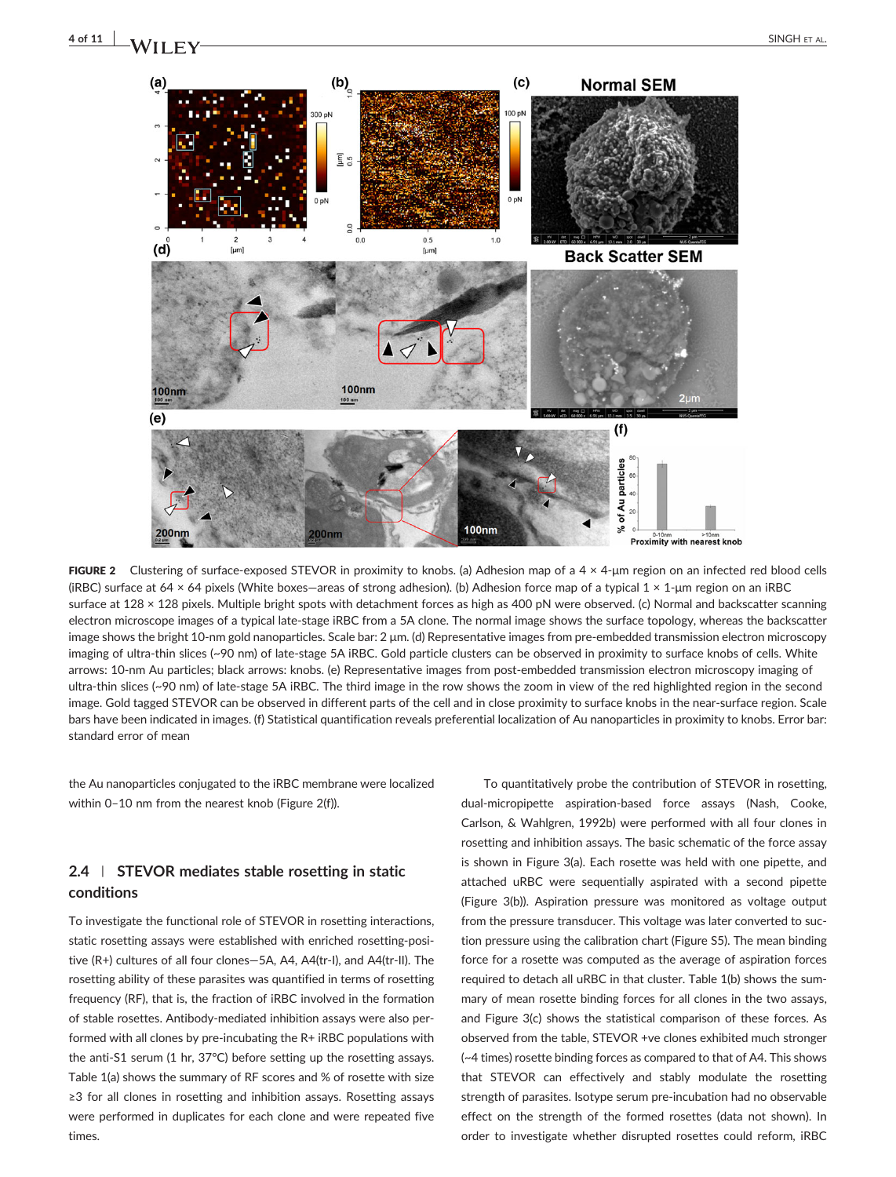

FIGURE 2 Clustering of surface-exposed STEVOR in proximity to knobs. (a) Adhesion map of a  $4 \times 4$ -µm region on an infected red blood cells (iRBC) surface at 64 × 64 pixels (White boxes—areas of strong adhesion). (b) Adhesion force map of a typical 1 × 1‐μm region on an iRBC surface at 128 × 128 pixels. Multiple bright spots with detachment forces as high as 400 pN were observed. (c) Normal and backscatter scanning electron microscope images of a typical late‐stage iRBC from a 5A clone. The normal image shows the surface topology, whereas the backscatter image shows the bright 10‐nm gold nanoparticles. Scale bar: 2 μm. (d) Representative images from pre‐embedded transmission electron microscopy imaging of ultra‐thin slices (~90 nm) of late‐stage 5A iRBC. Gold particle clusters can be observed in proximity to surface knobs of cells. White arrows: 10-nm Au particles; black arrows: knobs. (e) Representative images from post-embedded transmission electron microscopy imaging of ultra‐thin slices (~90 nm) of late‐stage 5A iRBC. The third image in the row shows the zoom in view of the red highlighted region in the second image. Gold tagged STEVOR can be observed in different parts of the cell and in close proximity to surface knobs in the near-surface region. Scale bars have been indicated in images. (f) Statistical quantification reveals preferential localization of Au nanoparticles in proximity to knobs. Error bar: standard error of mean

the Au nanoparticles conjugated to the iRBC membrane were localized within 0–10 nm from the nearest knob (Figure 2(f)).

# 2.4 | STEVOR mediates stable rosetting in static conditions

To investigate the functional role of STEVOR in rosetting interactions, static rosetting assays were established with enriched rosetting‐positive (R+) cultures of all four clones—5A, A4, A4(tr‐I), and A4(tr‐II). The rosetting ability of these parasites was quantified in terms of rosetting frequency (RF), that is, the fraction of iRBC involved in the formation of stable rosettes. Antibody‐mediated inhibition assays were also performed with all clones by pre‐incubating the R+ iRBC populations with the anti‐S1 serum (1 hr, 37°C) before setting up the rosetting assays. Table 1(a) shows the summary of RF scores and % of rosette with size ≥3 for all clones in rosetting and inhibition assays. Rosetting assays were performed in duplicates for each clone and were repeated five times.

To quantitatively probe the contribution of STEVOR in rosetting, dual‐micropipette aspiration‐based force assays (Nash, Cooke, Carlson, & Wahlgren, 1992b) were performed with all four clones in rosetting and inhibition assays. The basic schematic of the force assay is shown in Figure 3(a). Each rosette was held with one pipette, and attached uRBC were sequentially aspirated with a second pipette (Figure 3(b)). Aspiration pressure was monitored as voltage output from the pressure transducer. This voltage was later converted to suction pressure using the calibration chart (Figure S5). The mean binding force for a rosette was computed as the average of aspiration forces required to detach all uRBC in that cluster. Table 1(b) shows the summary of mean rosette binding forces for all clones in the two assays, and Figure 3(c) shows the statistical comparison of these forces. As observed from the table, STEVOR +ve clones exhibited much stronger (~4 times) rosette binding forces as compared to that of A4. This shows that STEVOR can effectively and stably modulate the rosetting strength of parasites. Isotype serum pre‐incubation had no observable effect on the strength of the formed rosettes (data not shown). In order to investigate whether disrupted rosettes could reform, iRBC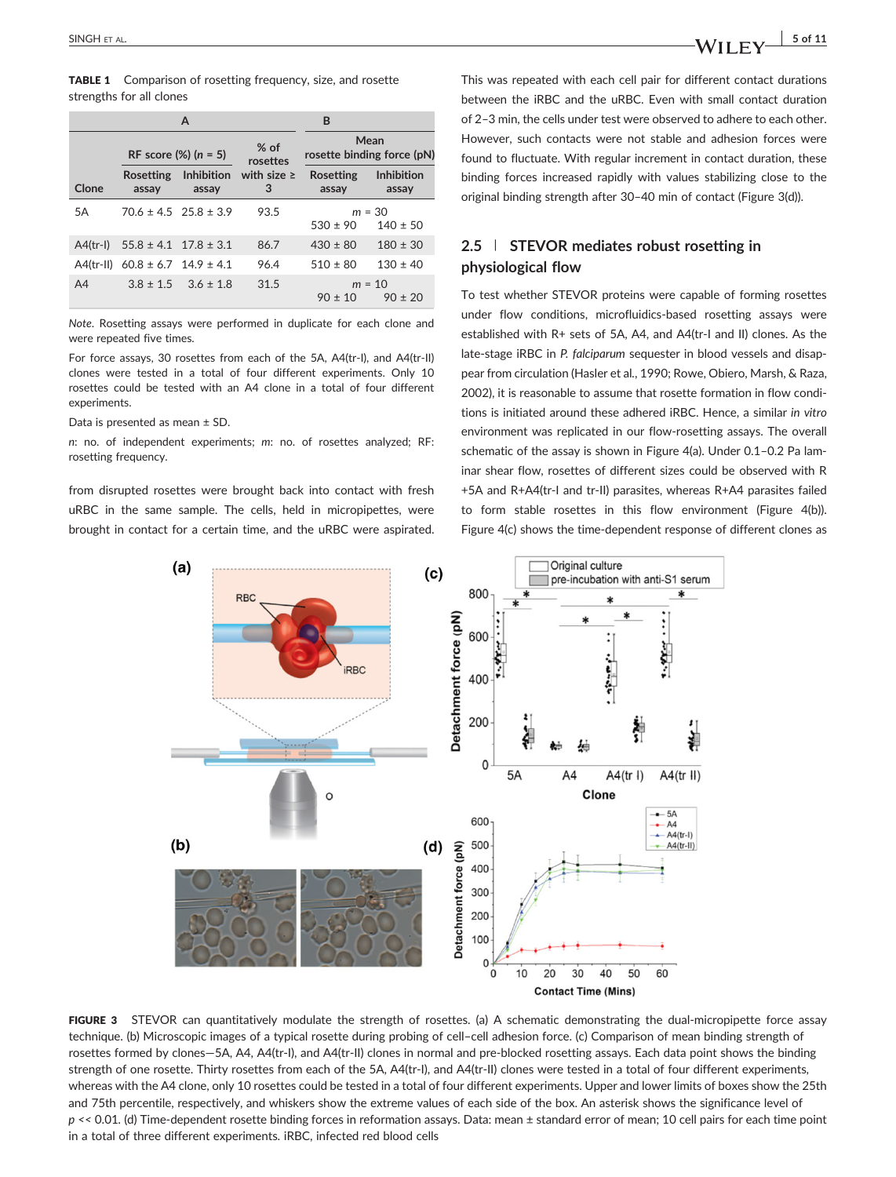|            | A                                       |                               |                      | B                                  |                            |
|------------|-----------------------------------------|-------------------------------|----------------------|------------------------------------|----------------------------|
|            | RF score $(\%)$ (n = 5)                 |                               | $%$ of<br>rosettes   | Mean<br>rosette binding force (pN) |                            |
| Clone      | <b>Rosetting</b><br>assay               | <b>Inhibition</b><br>assay    | with size $\ge$<br>3 | <b>Rosetting</b><br>assay          | <b>Inhibition</b><br>assay |
| 5A         |                                         | $70.6 \pm 4.5$ 25.8 $\pm 3.9$ | 93.5                 | $530 \pm 90$                       | $m = 30$<br>$140 \pm 50$   |
| $A4(tr-1)$ | $55.8 \pm 4.1$ $17.8 \pm 3.1$           |                               | 86.7                 | $430 \pm 80$                       | $180 \pm 30$               |
|            | A4(tr-II) $60.8 \pm 6.7$ 14.9 $\pm 4.1$ |                               | 96.4                 | $510 \pm 80$                       | $130 \pm 40$               |
| A4         |                                         | $3.8 \pm 1.5$ $3.6 \pm 1.8$   | 31.5                 | $90 \pm 10$                        | $m = 10$<br>$90 + 20$      |

Note. Rosetting assays were performed in duplicate for each clone and were repeated five times.

For force assays, 30 rosettes from each of the 5A, A4(tr‐I), and A4(tr‐II) clones were tested in a total of four different experiments. Only 10 rosettes could be tested with an A4 clone in a total of four different experiments.

Data is presented as mean ± SD.

n: no. of independent experiments; m: no. of rosettes analyzed; RF: rosetting frequency.

from disrupted rosettes were brought back into contact with fresh uRBC in the same sample. The cells, held in micropipettes, were brought in contact for a certain time, and the uRBC were aspirated.

This was repeated with each cell pair for different contact durations between the iRBC and the uRBC. Even with small contact duration of 2–3 min, the cells under test were observed to adhere to each other. However, such contacts were not stable and adhesion forces were found to fluctuate. With regular increment in contact duration, these binding forces increased rapidly with values stabilizing close to the original binding strength after 30–40 min of contact (Figure 3(d)).

# 2.5 | STEVOR mediates robust rosetting in physiological flow

To test whether STEVOR proteins were capable of forming rosettes under flow conditions, microfluidics‐based rosetting assays were established with R+ sets of 5A, A4, and A4(tr‐I and II) clones. As the late-stage iRBC in P. falciparum sequester in blood vessels and disappear from circulation (Hasler et al., 1990; Rowe, Obiero, Marsh, & Raza, 2002), it is reasonable to assume that rosette formation in flow conditions is initiated around these adhered iRBC. Hence, a similar in vitro environment was replicated in our flow-rosetting assays. The overall schematic of the assay is shown in Figure 4(a). Under 0.1–0.2 Pa laminar shear flow, rosettes of different sizes could be observed with R +5A and R+A4(tr‐I and tr‐II) parasites, whereas R+A4 parasites failed to form stable rosettes in this flow environment (Figure 4(b)). Figure 4(c) shows the time-dependent response of different clones as



FIGURE 3 STEVOR can quantitatively modulate the strength of rosettes. (a) A schematic demonstrating the dual-micropipette force assay technique. (b) Microscopic images of a typical rosette during probing of cell–cell adhesion force. (c) Comparison of mean binding strength of rosettes formed by clones—5A, A4, A4(tr‐I), and A4(tr‐II) clones in normal and pre‐blocked rosetting assays. Each data point shows the binding strength of one rosette. Thirty rosettes from each of the 5A, A4(tr‐I), and A4(tr‐II) clones were tested in a total of four different experiments, whereas with the A4 clone, only 10 rosettes could be tested in a total of four different experiments. Upper and lower limits of boxes show the 25th and 75th percentile, respectively, and whiskers show the extreme values of each side of the box. An asterisk shows the significance level of p << 0.01. (d) Time‐dependent rosette binding forces in reformation assays. Data: mean ± standard error of mean; 10 cell pairs for each time point in a total of three different experiments. iRBC, infected red blood cells

SINGH ET AL.  $\begin{array}{c|c} 5 \text{ of } 11 \end{array}$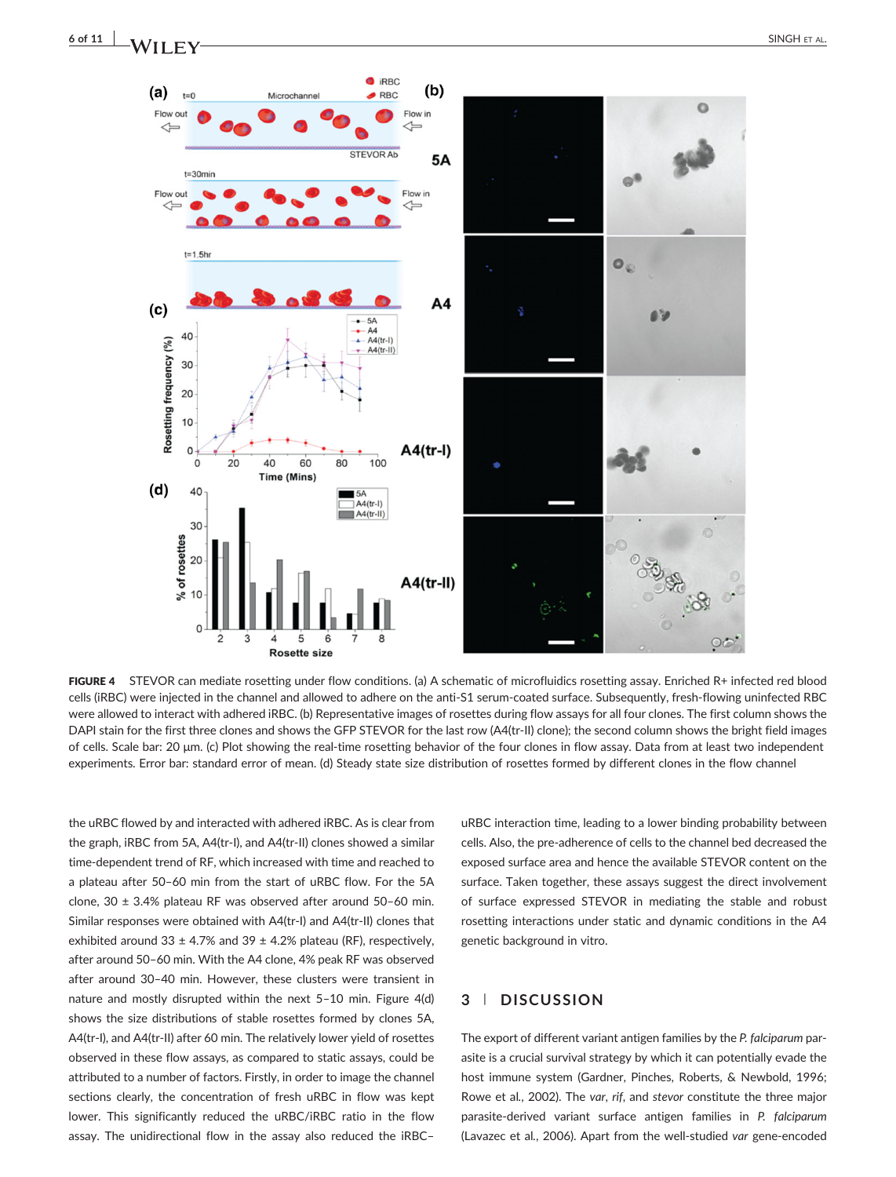



FIGURE 4 STEVOR can mediate rosetting under flow conditions. (a) A schematic of microfluidics rosetting assay. Enriched R+ infected red blood cells (iRBC) were injected in the channel and allowed to adhere on the anti‐S1 serum‐coated surface. Subsequently, fresh‐flowing uninfected RBC were allowed to interact with adhered iRBC. (b) Representative images of rosettes during flow assays for all four clones. The first column shows the DAPI stain for the first three clones and shows the GFP STEVOR for the last row (A4(tr-II) clone); the second column shows the bright field images of cells. Scale bar: 20 μm. (c) Plot showing the real‐time rosetting behavior of the four clones in flow assay. Data from at least two independent experiments. Error bar: standard error of mean. (d) Steady state size distribution of rosettes formed by different clones in the flow channel

the uRBC flowed by and interacted with adhered iRBC. As is clear from the graph, iRBC from 5A, A4(tr‐I), and A4(tr‐II) clones showed a similar time‐dependent trend of RF, which increased with time and reached to a plateau after 50–60 min from the start of uRBC flow. For the 5A clone,  $30 \pm 3.4\%$  plateau RF was observed after around 50-60 min. Similar responses were obtained with A4(tr‐I) and A4(tr‐II) clones that exhibited around 33  $\pm$  4.7% and 39  $\pm$  4.2% plateau (RF), respectively, after around 50–60 min. With the A4 clone, 4% peak RF was observed after around 30–40 min. However, these clusters were transient in nature and mostly disrupted within the next 5–10 min. Figure 4(d) shows the size distributions of stable rosettes formed by clones 5A, A4(tr‐I), and A4(tr‐II) after 60 min. The relatively lower yield of rosettes observed in these flow assays, as compared to static assays, could be attributed to a number of factors. Firstly, in order to image the channel sections clearly, the concentration of fresh uRBC in flow was kept lower. This significantly reduced the uRBC/iRBC ratio in the flow assay. The unidirectional flow in the assay also reduced the iRBC–

uRBC interaction time, leading to a lower binding probability between cells. Also, the pre‐adherence of cells to the channel bed decreased the exposed surface area and hence the available STEVOR content on the surface. Taken together, these assays suggest the direct involvement of surface expressed STEVOR in mediating the stable and robust rosetting interactions under static and dynamic conditions in the A4 genetic background in vitro.

# 3 | DISCUSSION

The export of different variant antigen families by the P. falciparum parasite is a crucial survival strategy by which it can potentially evade the host immune system (Gardner, Pinches, Roberts, & Newbold, 1996; Rowe et al., 2002). The var, rif, and stevor constitute the three major parasite-derived variant surface antigen families in P. falciparum (Lavazec et al., 2006). Apart from the well‐studied var gene‐encoded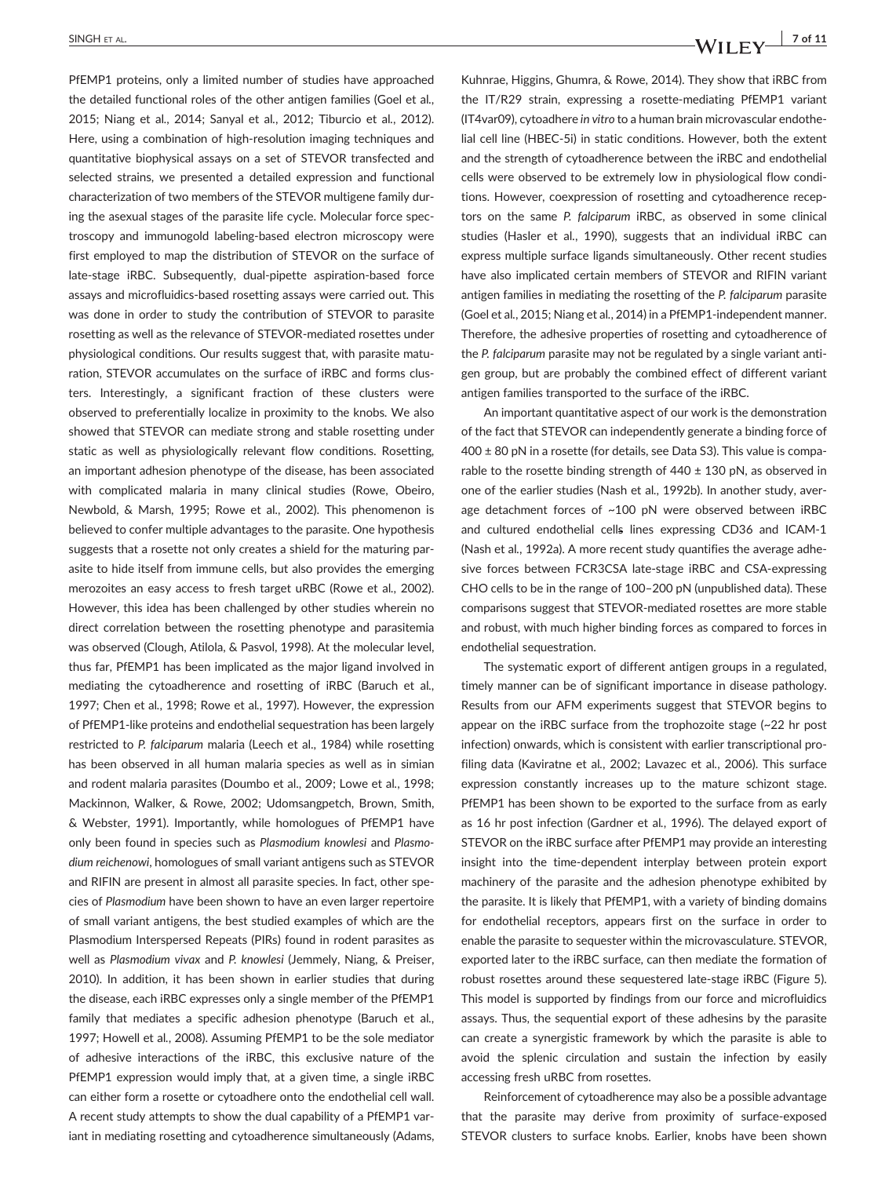PfEMP1 proteins, only a limited number of studies have approached the detailed functional roles of the other antigen families (Goel et al., 2015; Niang et al., 2014; Sanyal et al., 2012; Tiburcio et al., 2012). Here, using a combination of high‐resolution imaging techniques and quantitative biophysical assays on a set of STEVOR transfected and selected strains, we presented a detailed expression and functional characterization of two members of the STEVOR multigene family during the asexual stages of the parasite life cycle. Molecular force spectroscopy and immunogold labeling‐based electron microscopy were first employed to map the distribution of STEVOR on the surface of late‐stage iRBC. Subsequently, dual‐pipette aspiration‐based force assays and microfluidics‐based rosetting assays were carried out. This was done in order to study the contribution of STEVOR to parasite rosetting as well as the relevance of STEVOR‐mediated rosettes under physiological conditions. Our results suggest that, with parasite maturation, STEVOR accumulates on the surface of iRBC and forms clusters. Interestingly, a significant fraction of these clusters were observed to preferentially localize in proximity to the knobs. We also showed that STEVOR can mediate strong and stable rosetting under static as well as physiologically relevant flow conditions. Rosetting, an important adhesion phenotype of the disease, has been associated with complicated malaria in many clinical studies (Rowe, Obeiro, Newbold, & Marsh, 1995; Rowe et al., 2002). This phenomenon is believed to confer multiple advantages to the parasite. One hypothesis suggests that a rosette not only creates a shield for the maturing parasite to hide itself from immune cells, but also provides the emerging merozoites an easy access to fresh target uRBC (Rowe et al., 2002). However, this idea has been challenged by other studies wherein no direct correlation between the rosetting phenotype and parasitemia was observed (Clough, Atilola, & Pasvol, 1998). At the molecular level, thus far, PfEMP1 has been implicated as the major ligand involved in mediating the cytoadherence and rosetting of iRBC (Baruch et al., 1997; Chen et al., 1998; Rowe et al., 1997). However, the expression of PfEMP1‐like proteins and endothelial sequestration has been largely restricted to P. falciparum malaria (Leech et al., 1984) while rosetting has been observed in all human malaria species as well as in simian and rodent malaria parasites (Doumbo et al., 2009; Lowe et al., 1998; Mackinnon, Walker, & Rowe, 2002; Udomsangpetch, Brown, Smith, & Webster, 1991). Importantly, while homologues of PfEMP1 have only been found in species such as Plasmodium knowlesi and Plasmodium reichenowi, homologues of small variant antigens such as STEVOR and RIFIN are present in almost all parasite species. In fact, other species of Plasmodium have been shown to have an even larger repertoire of small variant antigens, the best studied examples of which are the Plasmodium Interspersed Repeats (PIRs) found in rodent parasites as well as Plasmodium vivax and P. knowlesi (Jemmely, Niang, & Preiser, 2010). In addition, it has been shown in earlier studies that during the disease, each iRBC expresses only a single member of the PfEMP1 family that mediates a specific adhesion phenotype (Baruch et al., 1997; Howell et al., 2008). Assuming PfEMP1 to be the sole mediator of adhesive interactions of the iRBC, this exclusive nature of the PfEMP1 expression would imply that, at a given time, a single iRBC can either form a rosette or cytoadhere onto the endothelial cell wall. A recent study attempts to show the dual capability of a PfEMP1 variant in mediating rosetting and cytoadherence simultaneously (Adams,

Kuhnrae, Higgins, Ghumra, & Rowe, 2014). They show that iRBC from the IT/R29 strain, expressing a rosette‐mediating PfEMP1 variant (IT4var09), cytoadhere in vitro to a human brain microvascular endothelial cell line (HBEC‐5i) in static conditions. However, both the extent and the strength of cytoadherence between the iRBC and endothelial cells were observed to be extremely low in physiological flow conditions. However, coexpression of rosetting and cytoadherence receptors on the same P. falciparum iRBC, as observed in some clinical studies (Hasler et al., 1990), suggests that an individual iRBC can express multiple surface ligands simultaneously. Other recent studies have also implicated certain members of STEVOR and RIFIN variant antigen families in mediating the rosetting of the P. falciparum parasite (Goel et al., 2015; Niang et al., 2014) in a PfEMP1‐independent manner. Therefore, the adhesive properties of rosetting and cytoadherence of the P. falciparum parasite may not be regulated by a single variant antigen group, but are probably the combined effect of different variant antigen families transported to the surface of the iRBC.

An important quantitative aspect of our work is the demonstration of the fact that STEVOR can independently generate a binding force of 400 ± 80 pN in a rosette (for details, see Data S3). This value is comparable to the rosette binding strength of  $440 \pm 130$  pN, as observed in one of the earlier studies (Nash et al., 1992b). In another study, average detachment forces of ~100 pN were observed between iRBC and cultured endothelial cells lines expressing CD36 and ICAM‐1 (Nash et al., 1992a). A more recent study quantifies the average adhesive forces between FCR3CSA late-stage iRBC and CSA-expressing CHO cells to be in the range of 100–200 pN (unpublished data). These comparisons suggest that STEVOR‐mediated rosettes are more stable and robust, with much higher binding forces as compared to forces in endothelial sequestration.

The systematic export of different antigen groups in a regulated, timely manner can be of significant importance in disease pathology. Results from our AFM experiments suggest that STEVOR begins to appear on the iRBC surface from the trophozoite stage (~22 hr post infection) onwards, which is consistent with earlier transcriptional profiling data (Kaviratne et al., 2002; Lavazec et al., 2006). This surface expression constantly increases up to the mature schizont stage. PfEMP1 has been shown to be exported to the surface from as early as 16 hr post infection (Gardner et al., 1996). The delayed export of STEVOR on the iRBC surface after PfEMP1 may provide an interesting insight into the time‐dependent interplay between protein export machinery of the parasite and the adhesion phenotype exhibited by the parasite. It is likely that PfEMP1, with a variety of binding domains for endothelial receptors, appears first on the surface in order to enable the parasite to sequester within the microvasculature. STEVOR, exported later to the iRBC surface, can then mediate the formation of robust rosettes around these sequestered late‐stage iRBC (Figure 5). This model is supported by findings from our force and microfluidics assays. Thus, the sequential export of these adhesins by the parasite can create a synergistic framework by which the parasite is able to avoid the splenic circulation and sustain the infection by easily accessing fresh uRBC from rosettes.

Reinforcement of cytoadherence may also be a possible advantage that the parasite may derive from proximity of surface‐exposed STEVOR clusters to surface knobs. Earlier, knobs have been shown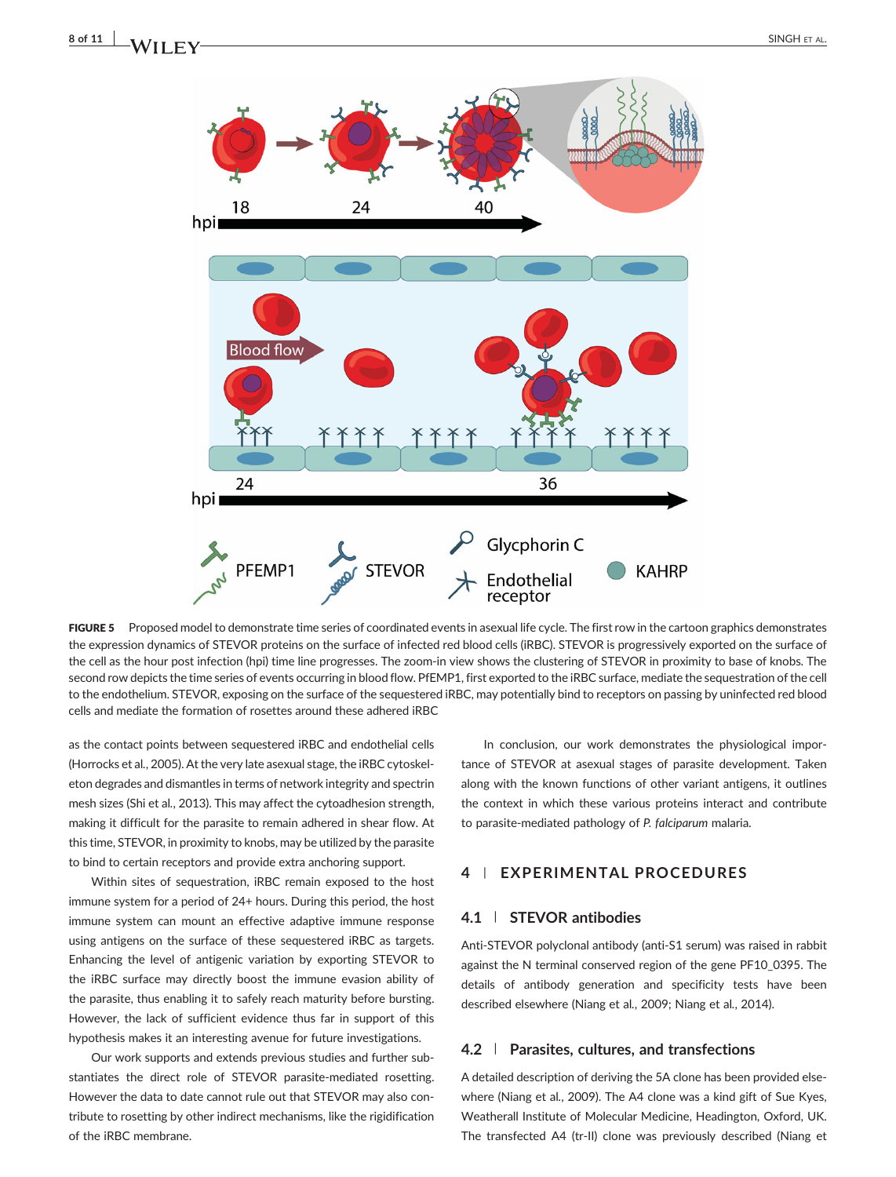# $8 \text{ of } 11$   $\bigcup$   $\bigcup$   $\bigcup$   $\bigcup$   $\bigcup$   $\bigcup$   $\bigcup$   $\bigcup$   $\bigcup$   $\bigcup$   $\bigcup$   $\bigcup$   $\bigcup$   $\bigcup$   $\bigcup$   $\bigcup$   $\bigcup$   $\bigcup$   $\bigcup$   $\bigcup$   $\bigcup$   $\bigcup$   $\bigcup$   $\bigcup$   $\bigcup$   $\bigcup$   $\bigcup$   $\bigcup$   $\bigcup$   $\bigcup$   $\bigcup$   $\bigcup$   $\bigcup$   $\bigcup$   $\bigcup$



FIGURE 5 Proposed model to demonstrate time series of coordinated events in asexual life cycle. The first row in the cartoon graphics demonstrates the expression dynamics of STEVOR proteins on the surface of infected red blood cells (iRBC). STEVOR is progressively exported on the surface of the cell as the hour post infection (hpi) time line progresses. The zoom-in view shows the clustering of STEVOR in proximity to base of knobs. The second row depicts the time series of events occurring in blood flow. PfEMP1, first exported to the iRBC surface, mediate the sequestration of the cell to the endothelium. STEVOR, exposing on the surface of the sequestered iRBC, may potentially bind to receptors on passing by uninfected red blood cells and mediate the formation of rosettes around these adhered iRBC

as the contact points between sequestered iRBC and endothelial cells (Horrocks et al., 2005). At the very late asexual stage, the iRBC cytoskeleton degrades and dismantles in terms of network integrity and spectrin mesh sizes (Shi et al., 2013). This may affect the cytoadhesion strength, making it difficult for the parasite to remain adhered in shear flow. At this time, STEVOR, in proximity to knobs, may be utilized by the parasite to bind to certain receptors and provide extra anchoring support.

Within sites of sequestration, iRBC remain exposed to the host immune system for a period of 24+ hours. During this period, the host immune system can mount an effective adaptive immune response using antigens on the surface of these sequestered iRBC as targets. Enhancing the level of antigenic variation by exporting STEVOR to the iRBC surface may directly boost the immune evasion ability of the parasite, thus enabling it to safely reach maturity before bursting. However, the lack of sufficient evidence thus far in support of this hypothesis makes it an interesting avenue for future investigations.

Our work supports and extends previous studies and further substantiates the direct role of STEVOR parasite‐mediated rosetting. However the data to date cannot rule out that STEVOR may also contribute to rosetting by other indirect mechanisms, like the rigidification of the iRBC membrane.

In conclusion, our work demonstrates the physiological importance of STEVOR at asexual stages of parasite development. Taken along with the known functions of other variant antigens, it outlines the context in which these various proteins interact and contribute to parasite‐mediated pathology of P. falciparum malaria.

# 4 | EXPERIMENTAL PROCEDURES

### 4.1 | STEVOR antibodies

Anti‐STEVOR polyclonal antibody (anti‐S1 serum) was raised in rabbit against the N terminal conserved region of the gene PF10\_0395. The details of antibody generation and specificity tests have been described elsewhere (Niang et al., 2009; Niang et al., 2014).

### 4.2 | Parasites, cultures, and transfections

A detailed description of deriving the 5A clone has been provided elsewhere (Niang et al., 2009). The A4 clone was a kind gift of Sue Kyes, Weatherall Institute of Molecular Medicine, Headington, Oxford, UK. The transfected A4 (tr-II) clone was previously described (Niang et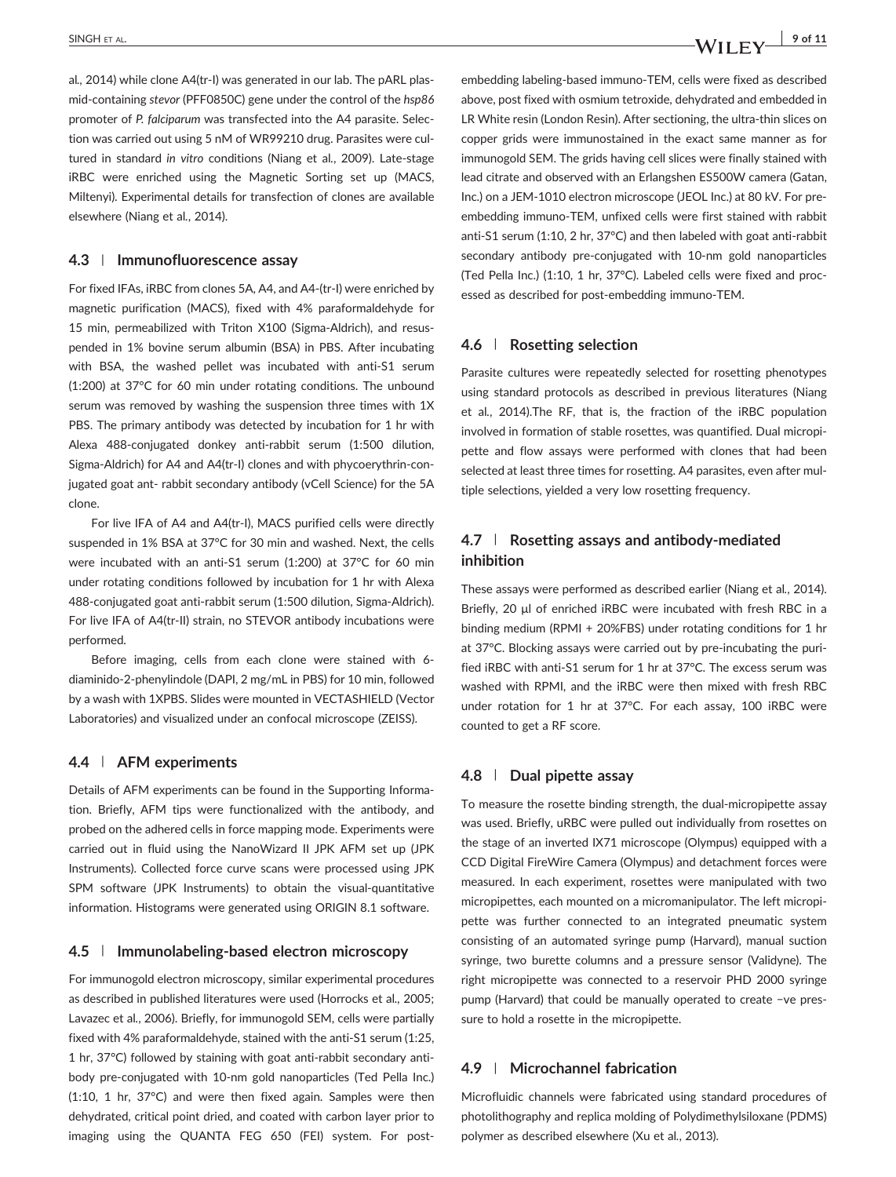al., 2014) while clone A4(tr‐I) was generated in our lab. The pARL plasmid-containing stevor (PFF0850C) gene under the control of the hsp86 promoter of P. falciparum was transfected into the A4 parasite. Selection was carried out using 5 nM of WR99210 drug. Parasites were cultured in standard in vitro conditions (Niang et al., 2009). Late‐stage iRBC were enriched using the Magnetic Sorting set up (MACS, Miltenyi). Experimental details for transfection of clones are available elsewhere (Niang et al., 2014).

#### 4.3 | Immunofluorescence assay

For fixed IFAs, iRBC from clones 5A, A4, and A4‐(tr‐I) were enriched by magnetic purification (MACS), fixed with 4% paraformaldehyde for 15 min, permeabilized with Triton X100 (Sigma‐Aldrich), and resuspended in 1% bovine serum albumin (BSA) in PBS. After incubating with BSA, the washed pellet was incubated with anti‐S1 serum (1:200) at 37°C for 60 min under rotating conditions. The unbound serum was removed by washing the suspension three times with 1X PBS. The primary antibody was detected by incubation for 1 hr with Alexa 488‐conjugated donkey anti‐rabbit serum (1:500 dilution, Sigma‐Aldrich) for A4 and A4(tr‐I) clones and with phycoerythrin‐conjugated goat ant- rabbit secondary antibody (vCell Science) for the 5A clone.

For live IFA of A4 and A4(tr‐I), MACS purified cells were directly suspended in 1% BSA at 37°C for 30 min and washed. Next, the cells were incubated with an anti‐S1 serum (1:200) at 37°C for 60 min under rotating conditions followed by incubation for 1 hr with Alexa 488‐conjugated goat anti‐rabbit serum (1:500 dilution, Sigma‐Aldrich). For live IFA of A4(tr‐II) strain, no STEVOR antibody incubations were performed.

Before imaging, cells from each clone were stained with 6‐ diaminido‐2‐phenylindole (DAPI, 2 mg/mL in PBS) for 10 min, followed by a wash with 1XPBS. Slides were mounted in VECTASHIELD (Vector Laboratories) and visualized under an confocal microscope (ZEISS).

#### 4.4 | AFM experiments

Details of AFM experiments can be found in the Supporting Information. Briefly, AFM tips were functionalized with the antibody, and probed on the adhered cells in force mapping mode. Experiments were carried out in fluid using the NanoWizard II JPK AFM set up (JPK Instruments). Collected force curve scans were processed using JPK SPM software (JPK Instruments) to obtain the visual-quantitative information. Histograms were generated using ORIGIN 8.1 software.

### 4.5 | Immunolabeling‐based electron microscopy

For immunogold electron microscopy, similar experimental procedures as described in published literatures were used (Horrocks et al., 2005; Lavazec et al., 2006). Briefly, for immunogold SEM, cells were partially fixed with 4% paraformaldehyde, stained with the anti‐S1 serum (1:25, 1 hr, 37°C) followed by staining with goat anti-rabbit secondary antibody pre-conjugated with 10-nm gold nanoparticles (Ted Pella Inc.) (1:10, 1 hr, 37°C) and were then fixed again. Samples were then dehydrated, critical point dried, and coated with carbon layer prior to imaging using the QUANTA FEG 650 (FEI) system. For post-

embedding labeling‐based immuno‐TEM, cells were fixed as described above, post fixed with osmium tetroxide, dehydrated and embedded in LR White resin (London Resin). After sectioning, the ultra-thin slices on copper grids were immunostained in the exact same manner as for immunogold SEM. The grids having cell slices were finally stained with lead citrate and observed with an Erlangshen ES500W camera (Gatan, Inc.) on a JEM‐1010 electron microscope (JEOL Inc.) at 80 kV. For pre‐ embedding immuno‐TEM, unfixed cells were first stained with rabbit anti-S1 serum (1:10, 2 hr, 37°C) and then labeled with goat anti-rabbit secondary antibody pre-conjugated with 10-nm gold nanoparticles (Ted Pella Inc.) (1:10, 1 hr, 37°C). Labeled cells were fixed and processed as described for post-embedding immuno-TEM.

## 4.6 | Rosetting selection

Parasite cultures were repeatedly selected for rosetting phenotypes using standard protocols as described in previous literatures (Niang et al., 2014).The RF, that is, the fraction of the iRBC population involved in formation of stable rosettes, was quantified. Dual micropipette and flow assays were performed with clones that had been selected at least three times for rosetting. A4 parasites, even after multiple selections, yielded a very low rosetting frequency.

## 4.7 | Rosetting assays and antibody‐mediated inhibition

These assays were performed as described earlier (Niang et al., 2014). Briefly, 20 μl of enriched iRBC were incubated with fresh RBC in a binding medium (RPMI + 20%FBS) under rotating conditions for 1 hr at 37°C. Blocking assays were carried out by pre‐incubating the purified iRBC with anti‐S1 serum for 1 hr at 37°C. The excess serum was washed with RPMI, and the iRBC were then mixed with fresh RBC under rotation for 1 hr at 37°C. For each assay, 100 iRBC were counted to get a RF score.

## 4.8 | Dual pipette assay

To measure the rosette binding strength, the dual‐micropipette assay was used. Briefly, uRBC were pulled out individually from rosettes on the stage of an inverted IX71 microscope (Olympus) equipped with a CCD Digital FireWire Camera (Olympus) and detachment forces were measured. In each experiment, rosettes were manipulated with two micropipettes, each mounted on a micromanipulator. The left micropipette was further connected to an integrated pneumatic system consisting of an automated syringe pump (Harvard), manual suction syringe, two burette columns and a pressure sensor (Validyne). The right micropipette was connected to a reservoir PHD 2000 syringe pump (Harvard) that could be manually operated to create −ve pressure to hold a rosette in the micropipette.

## 4.9 | Microchannel fabrication

Microfluidic channels were fabricated using standard procedures of photolithography and replica molding of Polydimethylsiloxane (PDMS) polymer as described elsewhere (Xu et al., 2013).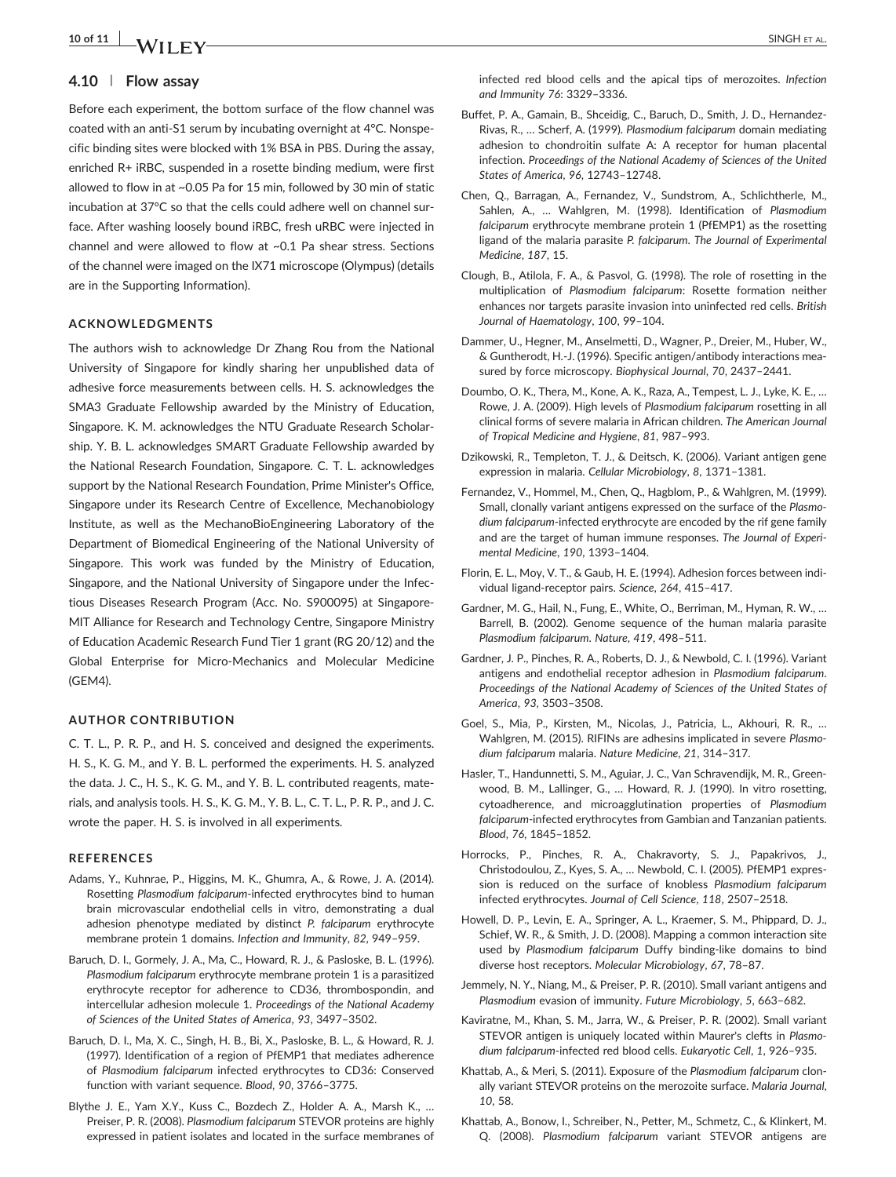# 10 of 11  $\overline{a}$  SINGH ET AL.

## 4.10 | Flow assay

Before each experiment, the bottom surface of the flow channel was coated with an anti‐S1 serum by incubating overnight at 4°C. Nonspecific binding sites were blocked with 1% BSA in PBS. During the assay, enriched R+ iRBC, suspended in a rosette binding medium, were first allowed to flow in at ~0.05 Pa for 15 min, followed by 30 min of static incubation at 37°C so that the cells could adhere well on channel surface. After washing loosely bound iRBC, fresh uRBC were injected in channel and were allowed to flow at ~0.1 Pa shear stress. Sections of the channel were imaged on the IX71 microscope (Olympus) (details are in the Supporting Information).

#### ACKNOWLEDGMENTS

The authors wish to acknowledge Dr Zhang Rou from the National University of Singapore for kindly sharing her unpublished data of adhesive force measurements between cells. H. S. acknowledges the SMA3 Graduate Fellowship awarded by the Ministry of Education, Singapore. K. M. acknowledges the NTU Graduate Research Scholarship. Y. B. L. acknowledges SMART Graduate Fellowship awarded by the National Research Foundation, Singapore. C. T. L. acknowledges support by the National Research Foundation, Prime Minister's Office, Singapore under its Research Centre of Excellence, Mechanobiology Institute, as well as the MechanoBioEngineering Laboratory of the Department of Biomedical Engineering of the National University of Singapore. This work was funded by the Ministry of Education, Singapore, and the National University of Singapore under the Infectious Diseases Research Program (Acc. No. S900095) at Singapore‐ MIT Alliance for Research and Technology Centre, Singapore Ministry of Education Academic Research Fund Tier 1 grant (RG 20/12) and the Global Enterprise for Micro‐Mechanics and Molecular Medicine (GEM4).

### AUTHOR CONTRIBUTION

C. T. L., P. R. P., and H. S. conceived and designed the experiments. H. S., K. G. M., and Y. B. L. performed the experiments. H. S. analyzed the data. J. C., H. S., K. G. M., and Y. B. L. contributed reagents, materials, and analysis tools. H. S., K. G. M., Y. B. L., C. T. L., P. R. P., and J. C. wrote the paper. H. S. is involved in all experiments.

#### REFERENCES

- Adams, Y., Kuhnrae, P., Higgins, M. K., Ghumra, A., & Rowe, J. A. (2014). Rosetting Plasmodium falciparum‐infected erythrocytes bind to human brain microvascular endothelial cells in vitro, demonstrating a dual adhesion phenotype mediated by distinct P. falciparum erythrocyte membrane protein 1 domains. Infection and Immunity, 82, 949–959.
- Baruch, D. I., Gormely, J. A., Ma, C., Howard, R. J., & Pasloske, B. L. (1996). Plasmodium falciparum erythrocyte membrane protein 1 is a parasitized erythrocyte receptor for adherence to CD36, thrombospondin, and intercellular adhesion molecule 1. Proceedings of the National Academy of Sciences of the United States of America, 93, 3497–3502.
- Baruch, D. I., Ma, X. C., Singh, H. B., Bi, X., Pasloske, B. L., & Howard, R. J. (1997). Identification of a region of PfEMP1 that mediates adherence of Plasmodium falciparum infected erythrocytes to CD36: Conserved function with variant sequence. Blood, 90, 3766–3775.
- Blythe J. E., Yam X.Y., Kuss C., Bozdech Z., Holder A. A., Marsh K., … Preiser, P. R. (2008). Plasmodium falciparum STEVOR proteins are highly expressed in patient isolates and located in the surface membranes of

infected red blood cells and the apical tips of merozoites. Infection and Immunity 76: 3329–3336.

- Buffet, P. A., Gamain, B., Shceidig, C., Baruch, D., Smith, J. D., Hernandez‐ Rivas, R., … Scherf, A. (1999). Plasmodium falciparum domain mediating adhesion to chondroitin sulfate A: A receptor for human placental infection. Proceedings of the National Academy of Sciences of the United States of America, 96, 12743–12748.
- Chen, Q., Barragan, A., Fernandez, V., Sundstrom, A., Schlichtherle, M., Sahlen, A., … Wahlgren, M. (1998). Identification of Plasmodium falciparum erythrocyte membrane protein 1 (PfEMP1) as the rosetting ligand of the malaria parasite P. falciparum. The Journal of Experimental Medicine, 187, 15.
- Clough, B., Atilola, F. A., & Pasvol, G. (1998). The role of rosetting in the multiplication of Plasmodium falciparum: Rosette formation neither enhances nor targets parasite invasion into uninfected red cells. British Journal of Haematology, 100, 99–104.
- Dammer, U., Hegner, M., Anselmetti, D., Wagner, P., Dreier, M., Huber, W., & Guntherodt, H.‐J. (1996). Specific antigen/antibody interactions measured by force microscopy. Biophysical Journal, 70, 2437–2441.
- Doumbo, O. K., Thera, M., Kone, A. K., Raza, A., Tempest, L. J., Lyke, K. E., … Rowe, J. A. (2009). High levels of Plasmodium falciparum rosetting in all clinical forms of severe malaria in African children. The American Journal of Tropical Medicine and Hygiene, 81, 987–993.
- Dzikowski, R., Templeton, T. J., & Deitsch, K. (2006). Variant antigen gene expression in malaria. Cellular Microbiology, 8, 1371–1381.
- Fernandez, V., Hommel, M., Chen, Q., Hagblom, P., & Wahlgren, M. (1999). Small, clonally variant antigens expressed on the surface of the Plasmodium falciparum-infected erythrocyte are encoded by the rif gene family and are the target of human immune responses. The Journal of Experimental Medicine, 190, 1393–1404.
- Florin, E. L., Moy, V. T., & Gaub, H. E. (1994). Adhesion forces between individual ligand-receptor pairs. Science, 264, 415-417.
- Gardner, M. G., Hail, N., Fung, E., White, O., Berriman, M., Hyman, R. W., … Barrell, B. (2002). Genome sequence of the human malaria parasite Plasmodium falciparum. Nature, 419, 498–511.
- Gardner, J. P., Pinches, R. A., Roberts, D. J., & Newbold, C. I. (1996). Variant antigens and endothelial receptor adhesion in Plasmodium falciparum. Proceedings of the National Academy of Sciences of the United States of America, 93, 3503–3508.
- Goel, S., Mia, P., Kirsten, M., Nicolas, J., Patricia, L., Akhouri, R. R., … Wahlgren, M. (2015). RIFINs are adhesins implicated in severe Plasmodium falciparum malaria. Nature Medicine, 21, 314–317.
- Hasler, T., Handunnetti, S. M., Aguiar, J. C., Van Schravendijk, M. R., Greenwood, B. M., Lallinger, G., … Howard, R. J. (1990). In vitro rosetting, cytoadherence, and microagglutination properties of Plasmodium falciparum‐infected erythrocytes from Gambian and Tanzanian patients. Blood, 76, 1845–1852.
- Horrocks, P., Pinches, R. A., Chakravorty, S. J., Papakrivos, J., Christodoulou, Z., Kyes, S. A., … Newbold, C. I. (2005). PfEMP1 expression is reduced on the surface of knobless Plasmodium falciparum infected erythrocytes. Journal of Cell Science, 118, 2507–2518.
- Howell, D. P., Levin, E. A., Springer, A. L., Kraemer, S. M., Phippard, D. J., Schief, W. R., & Smith, J. D. (2008). Mapping a common interaction site used by Plasmodium falciparum Duffy binding-like domains to bind diverse host receptors. Molecular Microbiology, 67, 78–87.
- Jemmely, N. Y., Niang, M., & Preiser, P. R. (2010). Small variant antigens and Plasmodium evasion of immunity. Future Microbiology, 5, 663–682.
- Kaviratne, M., Khan, S. M., Jarra, W., & Preiser, P. R. (2002). Small variant STEVOR antigen is uniquely located within Maurer's clefts in Plasmodium falciparum‐infected red blood cells. Eukaryotic Cell, 1, 926–935.
- Khattab, A., & Meri, S. (2011). Exposure of the Plasmodium falciparum clonally variant STEVOR proteins on the merozoite surface. Malaria Journal, 10, 58.
- Khattab, A., Bonow, I., Schreiber, N., Petter, M., Schmetz, C., & Klinkert, M. Q. (2008). Plasmodium falciparum variant STEVOR antigens are